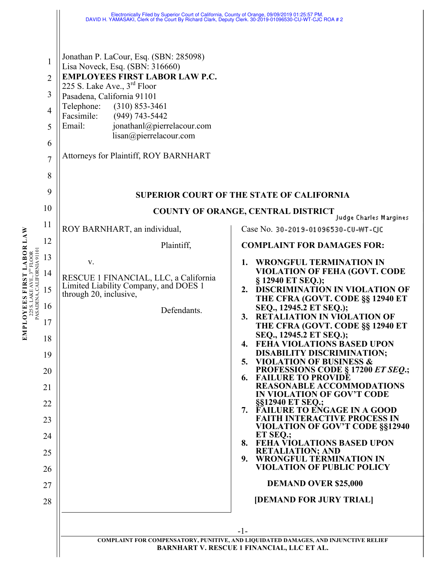|                                                                                                                           |                                                                                              | Electronically Filed by Superior Court of California, County of Orange, 09/09/2019 01:25:57 PM.<br>DAVID H. YAMASAKI, Clerk of the Court By Richard Clark, Deputy Clerk. 30-2019-01096530-CU-WT-CJC ROA # 2                                                                                                                                                                |                                                                                                                                                                                                                                                                                                                                                                                                                                                                                                                                                                                                                                                                                                                                                                                                                                                                                                                                                             |
|---------------------------------------------------------------------------------------------------------------------------|----------------------------------------------------------------------------------------------|----------------------------------------------------------------------------------------------------------------------------------------------------------------------------------------------------------------------------------------------------------------------------------------------------------------------------------------------------------------------------|-------------------------------------------------------------------------------------------------------------------------------------------------------------------------------------------------------------------------------------------------------------------------------------------------------------------------------------------------------------------------------------------------------------------------------------------------------------------------------------------------------------------------------------------------------------------------------------------------------------------------------------------------------------------------------------------------------------------------------------------------------------------------------------------------------------------------------------------------------------------------------------------------------------------------------------------------------------|
| <b>LABORLAW</b><br>225 S. LAKE AVE., 3 <sup>no</sup> FLOOR<br>PASADENA, CALIFORNIA 91101<br><u>ত</u><br>PLOYEES FIR<br>EМ | 1<br>$\overline{2}$<br>3<br>$\overline{4}$<br>5<br>6<br>$\overline{7}$<br>8<br>9<br>10       | Jonathan P. LaCour, Esq. (SBN: 285098)<br>Lisa Noveck, Esq. (SBN: 316660)<br><b>EMPLOYEES FIRST LABOR LAW P.C.</b><br>225 S. Lake Ave., $3^{rd}$ Floor<br>Pasadena, California 91101<br>Telephone:<br>$(310)$ 853-3461<br>Facsimile:<br>$(949)$ 743-5442<br>jonathanl@pierrelacour.com<br>Email:<br>lisan@pierrelacour.com<br><b>Attorneys for Plaintiff, ROY BARNHART</b> | <b>SUPERIOR COURT OF THE STATE OF CALIFORNIA</b><br><b>COUNTY OF ORANGE, CENTRAL DISTRICT</b>                                                                                                                                                                                                                                                                                                                                                                                                                                                                                                                                                                                                                                                                                                                                                                                                                                                               |
|                                                                                                                           | 11                                                                                           | ROY BARNHART, an individual,                                                                                                                                                                                                                                                                                                                                               | Judge Charles Margines<br>Case No. 30-2019-01096530-CU-WT-CJC                                                                                                                                                                                                                                                                                                                                                                                                                                                                                                                                                                                                                                                                                                                                                                                                                                                                                               |
|                                                                                                                           | 12                                                                                           | Plaintiff,                                                                                                                                                                                                                                                                                                                                                                 | <b>COMPLAINT FOR DAMAGES FOR:</b>                                                                                                                                                                                                                                                                                                                                                                                                                                                                                                                                                                                                                                                                                                                                                                                                                                                                                                                           |
|                                                                                                                           | 13<br>14<br>15<br>16<br>17<br>18<br>19<br>20<br>21<br>22<br>23<br>24<br>25<br>26<br>27<br>28 | V.<br>RESCUE 1 FINANCIAL, LLC, a California<br>Limited Liability Company, and DOES 1<br>through 20, inclusive,<br>Defendants.                                                                                                                                                                                                                                              | <b>WRONGFUL TERMINATION IN</b><br>1.<br><b>VIOLATION OF FEHA (GOVT. CODE</b><br>§ 12940 ET SEQ.);<br><b>DISCRIMINATION IN VIOLATION OF</b><br>2.<br>THE CFRA (GOVT. CODE §§ 12940 ET<br>SEQ., 12945.2 ET SEQ.);<br><b>RETALIATION IN VIOLATION OF</b><br>3.<br>THE CFRA (GOVT. CODE §§ 12940 ET<br>SEQ., 12945.2 ET SEQ.);<br><b>FEHA VIOLATIONS BASED UPON</b><br>4.<br><b>DISABILITY DISCRIMINATION;</b><br>5. VIOLATION OF BUSINESS &<br>PROFESSIONS CODE § 17200 ET SEQ.;<br><b>FAILURE TO PROVIDE</b><br>6.<br><b>REASONABLE ACCOMMODATIONS</b><br>IN VIOLATION OF GOV'T CODE<br>§§12940 ET SEQ.;<br>7. FAILURE TO ENGAGE IN A GOOD<br><b>FAITH INTERACTIVE PROCESS IN</b><br><b>VIOLATION OF GOV'T CODE §§12940</b><br>ET SEQ.;<br><b>FEHA VIOLATIONS BASED UPON</b><br>8.<br><b>RETALIATION; AND</b><br><b>WRONGFUL TERMINATION IN</b><br>9.<br><b>VIOLATION OF PUBLIC POLICY</b><br><b>DEMAND OVER \$25,000</b><br>[DEMAND FOR JURY TRIAL]<br>$-1-$ |
|                                                                                                                           |                                                                                              |                                                                                                                                                                                                                                                                                                                                                                            | COMPLAINT FOR COMPENSATORY, PUNITIVE, AND LIQUIDATED DAMAGES, AND INJUNCTIVE RELIEF<br><b>BARNHART V. RESCUE 1 FINANCIAL, LLC ET AL.</b>                                                                                                                                                                                                                                                                                                                                                                                                                                                                                                                                                                                                                                                                                                                                                                                                                    |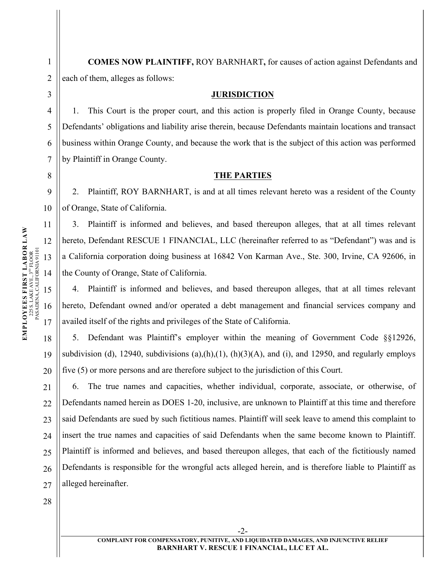**COMES NOW PLAINTIFF,** ROY BARNHART**,** for causes of action against Defendants and each of them, alleges as follows:

#### **JURISDICTION**

1. This Court is the proper court, and this action is properly filed in Orange County, because Defendants' obligations and liability arise therein, because Defendants maintain locations and transact business within Orange County, and because the work that is the subject of this action was performed by Plaintiff in Orange County.

## **THE PARTIES**

2. Plaintiff, ROY BARNHART, is and at all times relevant hereto was a resident of the County of Orange, State of California.

3. Plaintiff is informed and believes, and based thereupon alleges, that at all times relevant hereto, Defendant RESCUE 1 FINANCIAL, LLC (hereinafter referred to as "Defendant") was and is a California corporation doing business at 16842 Von Karman Ave., Ste. 300, Irvine, CA 92606, in the County of Orange, State of California.

4. Plaintiff is informed and believes, and based thereupon alleges, that at all times relevant hereto, Defendant owned and/or operated a debt management and financial services company and availed itself of the rights and privileges of the State of California.

5. Defendant was Plaintiff's employer within the meaning of Government Code §§12926, subdivision (d), 12940, subdivisions (a),(h),(1), (h)(3)(A), and (i), and 12950, and regularly employs five (5) or more persons and are therefore subject to the jurisdiction of this Court.

21  $22$ 23 24 25 26 27 6. The true names and capacities, whether individual, corporate, associate, or otherwise, of Defendants named herein as DOES 1-20, inclusive, are unknown to Plaintiff at this time and therefore said Defendants are sued by such fictitious names. Plaintiff will seek leave to amend this complaint to insert the true names and capacities of said Defendants when the same become known to Plaintiff. Plaintiff is informed and believes, and based thereupon alleges, that each of the fictitiously named Defendants is responsible for the wrongful acts alleged herein, and is therefore liable to Plaintiff as alleged hereinafter.

1

2

3

4

5

6

7

8

9

10

19

20

28

-2-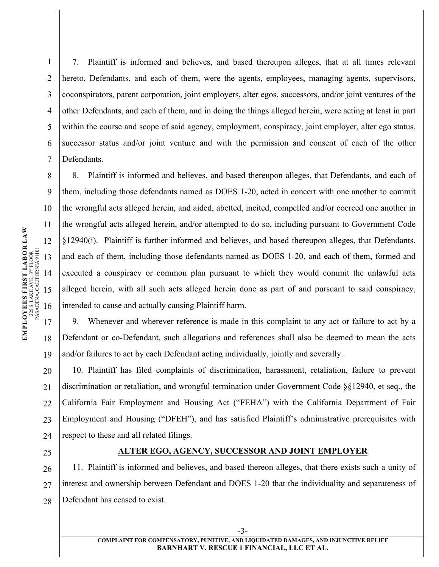7. Plaintiff is informed and believes, and based thereupon alleges, that at all times relevant hereto, Defendants, and each of them, were the agents, employees, managing agents, supervisors, coconspirators, parent corporation, joint employers, alter egos, successors, and/or joint ventures of the other Defendants, and each of them, and in doing the things alleged herein, were acting at least in part within the course and scope of said agency, employment, conspiracy, joint employer, alter ego status, successor status and/or joint venture and with the permission and consent of each of the other **Defendants** 

8. Plaintiff is informed and believes, and based thereupon alleges, that Defendants, and each of them, including those defendants named as DOES 1-20, acted in concert with one another to commit the wrongful acts alleged herein, and aided, abetted, incited, compelled and/or coerced one another in the wrongful acts alleged herein, and/or attempted to do so, including pursuant to Government Code §12940(i). Plaintiff is further informed and believes, and based thereupon alleges, that Defendants, and each of them, including those defendants named as DOES 1-20, and each of them, formed and executed a conspiracy or common plan pursuant to which they would commit the unlawful acts alleged herein, with all such acts alleged herein done as part of and pursuant to said conspiracy, intended to cause and actually causing Plaintiff harm.

9. Whenever and wherever reference is made in this complaint to any act or failure to act by a Defendant or co-Defendant, such allegations and references shall also be deemed to mean the acts and/or failures to act by each Defendant acting individually, jointly and severally.

20 24 10. Plaintiff has filed complaints of discrimination, harassment, retaliation, failure to prevent discrimination or retaliation, and wrongful termination under Government Code §§12940, et seq., the California Fair Employment and Housing Act ("FEHA") with the California Department of Fair Employment and Housing ("DFEH"), and has satisfied Plaintiff's administrative prerequisites with respect to these and all related filings.

# **ALTER EGO, AGENCY, SUCCESSOR AND JOINT EMPLOYER**

26 27 28 11. Plaintiff is informed and believes, and based thereon alleges, that there exists such a unity of interest and ownership between Defendant and DOES 1-20 that the individuality and separateness of Defendant has ceased to exist.

1

2

3

4

5

6

7

8

9

10

11

19

21

 $22$ 

23

25

**COMPLAINT FOR COMPENSATORY, PUNITIVE, AND LIQUIDATED DAMAGES, AND INJUNCTIVE RELIEF BARNHART V. RESCUE 1 FINANCIAL, LLC ET AL.** 

-3-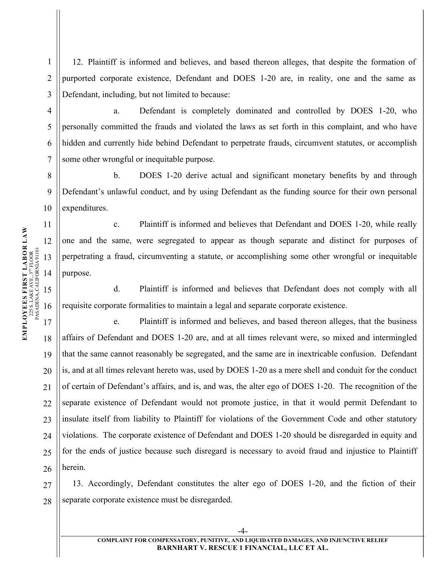1 2 3 12. Plaintiff is informed and believes, and based thereon alleges, that despite the formation of purported corporate existence, Defendant and DOES 1-20 are, in reality, one and the same as Defendant, including, but not limited to because:

a. Defendant is completely dominated and controlled by DOES 1-20, who personally committed the frauds and violated the laws as set forth in this complaint, and who have hidden and currently hide behind Defendant to perpetrate frauds, circumvent statutes, or accomplish some other wrongful or inequitable purpose.

8 9 10 b. DOES 1-20 derive actual and significant monetary benefits by and through Defendant's unlawful conduct, and by using Defendant as the funding source for their own personal expenditures.

c. Plaintiff is informed and believes that Defendant and DOES 1-20, while really one and the same, were segregated to appear as though separate and distinct for purposes of perpetrating a fraud, circumventing a statute, or accomplishing some other wrongful or inequitable purpose.

d. Plaintiff is informed and believes that Defendant does not comply with all requisite corporate formalities to maintain a legal and separate corporate existence.

e. Plaintiff is informed and believes, and based thereon alleges, that the business affairs of Defendant and DOES 1-20 are, and at all times relevant were, so mixed and intermingled that the same cannot reasonably be segregated, and the same are in inextricable confusion. Defendant is, and at all times relevant hereto was, used by DOES 1-20 as a mere shell and conduit for the conduct of certain of Defendant's affairs, and is, and was, the alter ego of DOES 1-20. The recognition of the separate existence of Defendant would not promote justice, in that it would permit Defendant to insulate itself from liability to Plaintiff for violations of the Government Code and other statutory violations. The corporate existence of Defendant and DOES 1-20 should be disregarded in equity and for the ends of justice because such disregard is necessary to avoid fraud and injustice to Plaintiff herein.

27 28 13. Accordingly, Defendant constitutes the alter ego of DOES 1-20, and the fiction of their separate corporate existence must be disregarded.

19

20

21

 $22$ 

23

24

25

26

4

5

6

7

**COMPLAINT FOR COMPENSATORY, PUNITIVE, AND LIQUIDATED DAMAGES, AND INJUNCTIVE RELIEF BARNHART V. RESCUE 1 FINANCIAL, LLC ET AL.**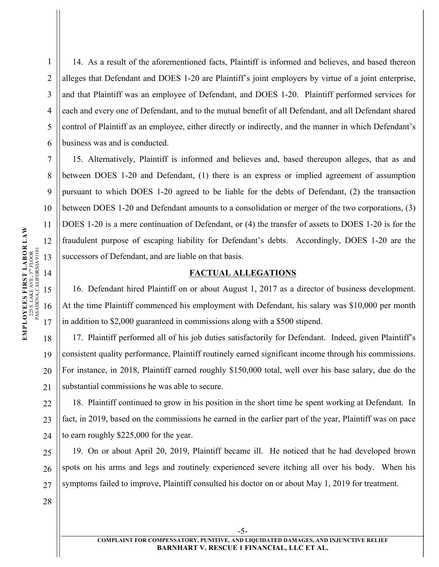1 2 3 4 5 6 14. As a result of the aforementioned facts, Plaintiff is informed and believes, and based thereon alleges that Defendant and DOES 1-20 are Plaintiff's joint employers by virtue of a joint enterprise, and that Plaintiff was an employee of Defendant, and DOES 1-20. Plaintiff performed services for each and every one of Defendant, and to the mutual benefit of all Defendant, and all Defendant shared control of Plaintiff as an employee, either directly or indirectly, and the manner in which Defendant's business was and is conducted.

15. Alternatively, Plaintiff is informed and believes and, based thereupon alleges, that as and between DOES 1-20 and Defendant, (1) there is an express or implied agreement of assumption pursuant to which DOES 1-20 agreed to be liable for the debts of Defendant, (2) the transaction between DOES 1-20 and Defendant amounts to a consolidation or merger of the two corporations, (3) DOES 1-20 is a mere continuation of Defendant, or (4) the transfer of assets to DOES 1-20 is for the fraudulent purpose of escaping liability for Defendant's debts. Accordingly, DOES 1-20 are the successors of Defendant, and are liable on that basis.

## **FACTUAL ALLEGATIONS**

16. Defendant hired Plaintiff on or about August 1, 2017 as a director of business development. At the time Plaintiff commenced his employment with Defendant, his salary was \$10,000 per month in addition to \$2,000 guaranteed in commissions along with a \$500 stipend.

17. Plaintiff performed all of his job duties satisfactorily for Defendant. Indeed, given Plaintiff's consistent quality performance, Plaintiff routinely earned significant income through his commissions. For instance, in 2018, Plaintiff earned roughly \$150,000 total, well over his base salary, due do the substantial commissions he was able to secure.

22 23 24 18. Plaintiff continued to grow in his position in the short time he spent working at Defendant. In fact, in 2019, based on the commissions he earned in the earlier part of the year, Plaintiff was on pace to earn roughly \$225,000 for the year.

19. On or about April 20, 2019, Plaintiff became ill. He noticed that he had developed brown spots on his arms and legs and routinely experienced severe itching all over his body. When his symptoms failed to improve, Plaintiff consulted his doctor on or about May 1, 2019 for treatment.

 $\begin{tabular}{ll} \textbf{EMPLOWES ES FIRST LAS} & \textbf{DING} & \textbf{TLABOR} & \textbf{LAW} \\ & \textbf{225 S. LAKEAVE, 3}^{\text{up}} & \textbf{FLOOR} \\ & \textbf{PASADENA, CALIFORMA91101} \end{tabular}$ **EMPLOYEES FIRST LABOR LAW** 12 PASADENA, CALIFORNIA 91101  $225$  S. LAKE AVE.,  $3^{\text{up}}$  FLOOR 13 14 15 16 17 18

7

8

9

10

11

19

20

21

25

26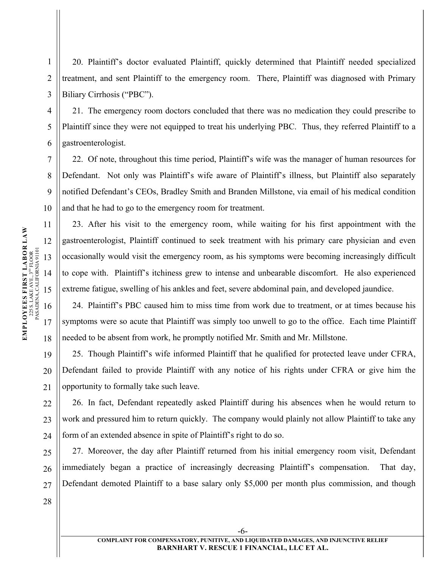1 2 3 20. Plaintiff's doctor evaluated Plaintiff, quickly determined that Plaintiff needed specialized treatment, and sent Plaintiff to the emergency room. There, Plaintiff was diagnosed with Primary Biliary Cirrhosis ("PBC").

21. The emergency room doctors concluded that there was no medication they could prescribe to Plaintiff since they were not equipped to treat his underlying PBC. Thus, they referred Plaintiff to a gastroenterologist.

22. Of note, throughout this time period, Plaintiff's wife was the manager of human resources for Defendant. Not only was Plaintiff's wife aware of Plaintiff's illness, but Plaintiff also separately notified Defendant's CEOs, Bradley Smith and Branden Millstone, via email of his medical condition and that he had to go to the emergency room for treatment.

23. After his visit to the emergency room, while waiting for his first appointment with the gastroenterologist, Plaintiff continued to seek treatment with his primary care physician and even occasionally would visit the emergency room, as his symptoms were becoming increasingly difficult to cope with. Plaintiff's itchiness grew to intense and unbearable discomfort. He also experienced extreme fatigue, swelling of his ankles and feet, severe abdominal pain, and developed jaundice.

24. Plaintiff's PBC caused him to miss time from work due to treatment, or at times because his symptoms were so acute that Plaintiff was simply too unwell to go to the office. Each time Plaintiff needed to be absent from work, he promptly notified Mr. Smith and Mr. Millstone.

25. Though Plaintiff's wife informed Plaintiff that he qualified for protected leave under CFRA, Defendant failed to provide Plaintiff with any notice of his rights under CFRA or give him the opportunity to formally take such leave.

26. In fact, Defendant repeatedly asked Plaintiff during his absences when he would return to work and pressured him to return quickly. The company would plainly not allow Plaintiff to take any form of an extended absence in spite of Plaintiff's right to do so.

27 27. Moreover, the day after Plaintiff returned from his initial emergency room visit, Defendant immediately began a practice of increasingly decreasing Plaintiff's compensation. That day, Defendant demoted Plaintiff to a base salary only \$5,000 per month plus commission, and though

-6-

 $\begin{tabular}{ll} \textbf{EMPLOWES ES FIRST LAS} & \textbf{DING} & \textbf{TLABOR} & \textbf{LAW} \\ & \textbf{225 S. LAKEAVE, 3}^{\text{up}} & \textbf{FLOOR} \\ & \textbf{PASADENA, CALIFORMA91101} \end{tabular}$ **EMPLOYEES FIRST LABOR LAW** 12 PASADENA, CALIFORNIA 91101  $225$  S. LAKE AVE.,  $3^{\text{up}}$  FLOOR 13 14 15 16 17 18

4

5

6

7

8

9

10

11

19

20

21

 $22$ 

23

24

25

26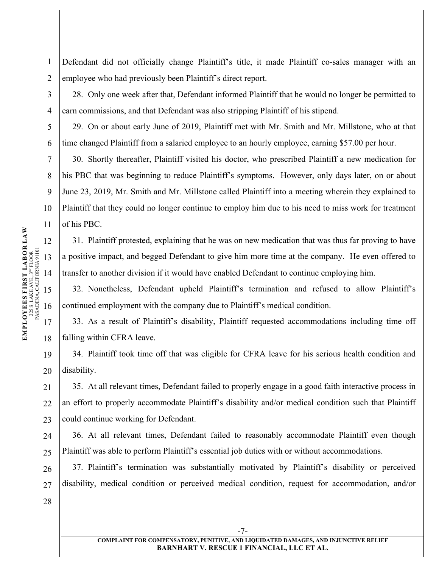1 2 Defendant did not officially change Plaintiff's title, it made Plaintiff co-sales manager with an employee who had previously been Plaintiff's direct report.

28. Only one week after that, Defendant informed Plaintiff that he would no longer be permitted to earn commissions, and that Defendant was also stripping Plaintiff of his stipend.

29. On or about early June of 2019, Plaintiff met with Mr. Smith and Mr. Millstone, who at that time changed Plaintiff from a salaried employee to an hourly employee, earning \$57.00 per hour.

30. Shortly thereafter, Plaintiff visited his doctor, who prescribed Plaintiff a new medication for his PBC that was beginning to reduce Plaintiff's symptoms. However, only days later, on or about June 23, 2019, Mr. Smith and Mr. Millstone called Plaintiff into a meeting wherein they explained to Plaintiff that they could no longer continue to employ him due to his need to miss work for treatment of his PBC.

31. Plaintiff protested, explaining that he was on new medication that was thus far proving to have a positive impact, and begged Defendant to give him more time at the company. He even offered to transfer to another division if it would have enabled Defendant to continue employing him.

32. Nonetheless, Defendant upheld Plaintiff's termination and refused to allow Plaintiff's continued employment with the company due to Plaintiff's medical condition.

33. As a result of Plaintiff's disability, Plaintiff requested accommodations including time off falling within CFRA leave.

34. Plaintiff took time off that was eligible for CFRA leave for his serious health condition and disability.

35. At all relevant times, Defendant failed to properly engage in a good faith interactive process in an effort to properly accommodate Plaintiff's disability and/or medical condition such that Plaintiff could continue working for Defendant.

24 25 36. At all relevant times, Defendant failed to reasonably accommodate Plaintiff even though Plaintiff was able to perform Plaintiff's essential job duties with or without accommodations.

26 27 37. Plaintiff's termination was substantially motivated by Plaintiff's disability or perceived disability, medical condition or perceived medical condition, request for accommodation, and/or

3

4

5

6

7

8

9

10

19

20

21

 $22$ 

23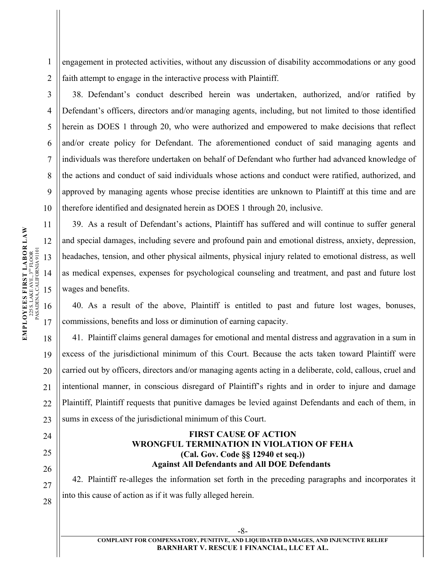engagement in protected activities, without any discussion of disability accommodations or any good faith attempt to engage in the interactive process with Plaintiff.

38. Defendant's conduct described herein was undertaken, authorized, and/or ratified by Defendant's officers, directors and/or managing agents, including, but not limited to those identified herein as DOES 1 through 20, who were authorized and empowered to make decisions that reflect and/or create policy for Defendant. The aforementioned conduct of said managing agents and individuals was therefore undertaken on behalf of Defendant who further had advanced knowledge of the actions and conduct of said individuals whose actions and conduct were ratified, authorized, and approved by managing agents whose precise identities are unknown to Plaintiff at this time and are therefore identified and designated herein as DOES 1 through 20, inclusive.

39. As a result of Defendant's actions, Plaintiff has suffered and will continue to suffer general and special damages, including severe and profound pain and emotional distress, anxiety, depression, headaches, tension, and other physical ailments, physical injury related to emotional distress, as well as medical expenses, expenses for psychological counseling and treatment, and past and future lost wages and benefits.

40. As a result of the above, Plaintiff is entitled to past and future lost wages, bonuses, commissions, benefits and loss or diminution of earning capacity.

41. Plaintiff claims general damages for emotional and mental distress and aggravation in a sum in excess of the jurisdictional minimum of this Court. Because the acts taken toward Plaintiff were carried out by officers, directors and/or managing agents acting in a deliberate, cold, callous, cruel and intentional manner, in conscious disregard of Plaintiff's rights and in order to injure and damage Plaintiff, Plaintiff requests that punitive damages be levied against Defendants and each of them, in sums in excess of the jurisdictional minimum of this Court.

### **FIRST CAUSE OF ACTION WRONGFUL TERMINATION IN VIOLATION OF FEHA (Cal. Gov. Code §§ 12940 et seq.)) Against All Defendants and All DOE Defendants**

42. Plaintiff re-alleges the information set forth in the preceding paragraphs and incorporates it into this cause of action as if it was fully alleged herein.

1

2

3

4

5

6

7

8

9

10

19

20

21

 $22$ 

23

24

25

26

27

28

-8-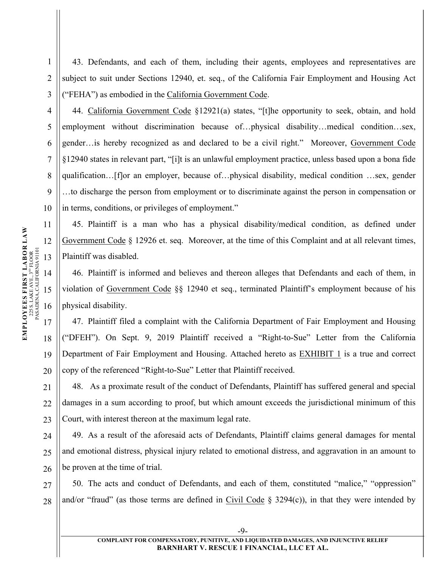1 2 3 43. Defendants, and each of them, including their agents, employees and representatives are subject to suit under Sections 12940, et. seq., of the California Fair Employment and Housing Act ("FEHA") as embodied in the California Government Code.

44. California Government Code §12921(a) states, "[t]he opportunity to seek, obtain, and hold employment without discrimination because of…physical disability…medical condition…sex, gender…is hereby recognized as and declared to be a civil right." Moreover, Government Code §12940 states in relevant part, "[i]t is an unlawful employment practice, unless based upon a bona fide qualification…[f]or an employer, because of…physical disability, medical condition …sex, gender …to discharge the person from employment or to discriminate against the person in compensation or in terms, conditions, or privileges of employment."

45. Plaintiff is a man who has a physical disability/medical condition, as defined under Government Code § 12926 et. seq. Moreover, at the time of this Complaint and at all relevant times, Plaintiff was disabled.

46. Plaintiff is informed and believes and thereon alleges that Defendants and each of them, in violation of Government Code §§ 12940 et seq., terminated Plaintiff's employment because of his physical disability.

47. Plaintiff filed a complaint with the California Department of Fair Employment and Housing ("DFEH"). On Sept. 9, 2019 Plaintiff received a "Right-to-Sue" Letter from the California Department of Fair Employment and Housing. Attached hereto as EXHIBIT 1 is a true and correct copy of the referenced "Right-to-Sue" Letter that Plaintiff received.

48. As a proximate result of the conduct of Defendants, Plaintiff has suffered general and special damages in a sum according to proof, but which amount exceeds the jurisdictional minimum of this Court, with interest thereon at the maximum legal rate.

24 25 26 49. As a result of the aforesaid acts of Defendants, Plaintiff claims general damages for mental and emotional distress, physical injury related to emotional distress, and aggravation in an amount to be proven at the time of trial.

27 28 50. The acts and conduct of Defendants, and each of them, constituted "malice," "oppression" and/or "fraud" (as those terms are defined in Civil Code  $\S$  3294(c)), in that they were intended by

19

20

21

 $22$ 

23

4

5

6

7

8

9

10

-9-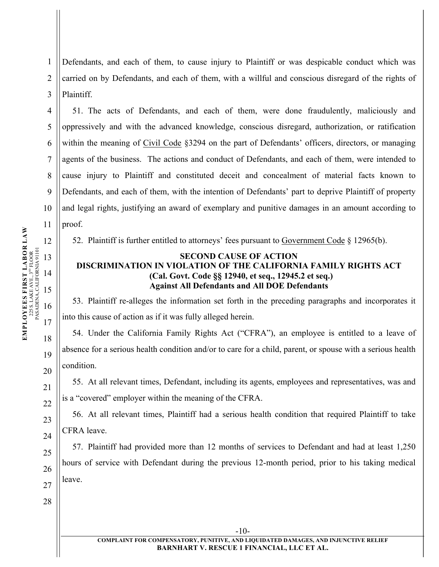1 2 3 Defendants, and each of them, to cause injury to Plaintiff or was despicable conduct which was carried on by Defendants, and each of them, with a willful and conscious disregard of the rights of Plaintiff.

51. The acts of Defendants, and each of them, were done fraudulently, maliciously and oppressively and with the advanced knowledge, conscious disregard, authorization, or ratification within the meaning of Civil Code §3294 on the part of Defendants' officers, directors, or managing agents of the business. The actions and conduct of Defendants, and each of them, were intended to cause injury to Plaintiff and constituted deceit and concealment of material facts known to Defendants, and each of them, with the intention of Defendants' part to deprive Plaintiff of property and legal rights, justifying an award of exemplary and punitive damages in an amount according to proof.

52. Plaintiff is further entitled to attorneys' fees pursuant to Government Code § 12965(b).

# **SECOND CAUSE OF ACTION DISCRIMINATION IN VIOLATION OF THE CALIFORNIA FAMILY RIGHTS ACT (Cal. Govt. Code §§ 12940, et seq., 12945.2 et seq.) Against All Defendants and All DOE Defendants**

53. Plaintiff re-alleges the information set forth in the preceding paragraphs and incorporates it into this cause of action as if it was fully alleged herein.

54. Under the California Family Rights Act ("CFRA"), an employee is entitled to a leave of absence for a serious health condition and/or to care for a child, parent, or spouse with a serious health condition.

55. At all relevant times, Defendant, including its agents, employees and representatives, was and is a "covered" employer within the meaning of the CFRA.

56. At all relevant times, Plaintiff had a serious health condition that required Plaintiff to take CFRA leave.

57. Plaintiff had provided more than 12 months of services to Defendant and had at least 1,250 hours of service with Defendant during the previous 12-month period, prior to his taking medical leave.

 $\begin{tabular}{ll} \textbf{EMPLOVES ES FIRST LAS T} & \textbf{LABOR} & \textbf{LAW} \\ & \textbf{225 S. LAKEAVE, 3}^{\text{w} \text{ FLOOR}} & \\ & \textbf{PASADENA, CALIFORNIADIN} \end{tabular}$ **EMPLOYEES FIRST LABOR LAW** 12 PASADENA, CALIFORNIA 91101  $225$  S. LAKE AVE.,  $3^{\text{up}}$  FLOOR 13 14 15 16 17 18 19

4

5

6

7

8

9

10

11

20

21

22

-10-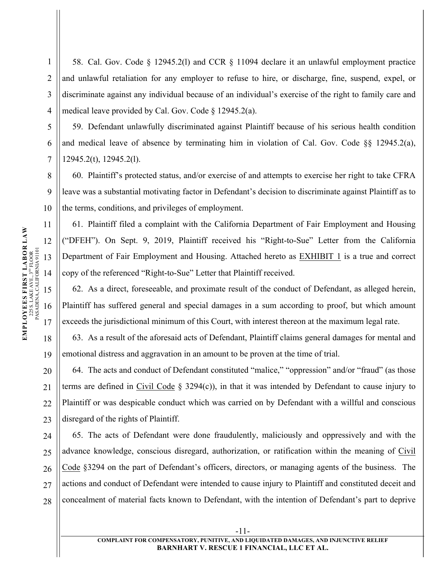4 58. Cal. Gov. Code § 12945.2(l) and CCR § 11094 declare it an unlawful employment practice and unlawful retaliation for any employer to refuse to hire, or discharge, fine, suspend, expel, or discriminate against any individual because of an individual's exercise of the right to family care and medical leave provided by Cal. Gov. Code § 12945.2(a).

59. Defendant unlawfully discriminated against Plaintiff because of his serious health condition and medical leave of absence by terminating him in violation of Cal. Gov. Code  $\S$ § 12945.2(a), 12945.2(t), 12945.2(l).

60. Plaintiff's protected status, and/or exercise of and attempts to exercise her right to take CFRA leave was a substantial motivating factor in Defendant's decision to discriminate against Plaintiff as to the terms, conditions, and privileges of employment.

61. Plaintiff filed a complaint with the California Department of Fair Employment and Housing ("DFEH"). On Sept. 9, 2019, Plaintiff received his "Right-to-Sue" Letter from the California Department of Fair Employment and Housing. Attached hereto as EXHIBIT 1 is a true and correct copy of the referenced "Right-to-Sue" Letter that Plaintiff received.

62. As a direct, foreseeable, and proximate result of the conduct of Defendant, as alleged herein, Plaintiff has suffered general and special damages in a sum according to proof, but which amount exceeds the jurisdictional minimum of this Court, with interest thereon at the maximum legal rate.

63. As a result of the aforesaid acts of Defendant, Plaintiff claims general damages for mental and emotional distress and aggravation in an amount to be proven at the time of trial.

64. The acts and conduct of Defendant constituted "malice," "oppression" and/or "fraud" (as those terms are defined in Civil Code  $\S$  3294(c)), in that it was intended by Defendant to cause injury to Plaintiff or was despicable conduct which was carried on by Defendant with a willful and conscious disregard of the rights of Plaintiff.

24 25 26 27 28 65. The acts of Defendant were done fraudulently, maliciously and oppressively and with the advance knowledge, conscious disregard, authorization, or ratification within the meaning of Civil Code §3294 on the part of Defendant's officers, directors, or managing agents of the business. The actions and conduct of Defendant were intended to cause injury to Plaintiff and constituted deceit and concealment of material facts known to Defendant, with the intention of Defendant's part to deprive

1

2

3

5

6

7

8

9

10

19

20

21

 $22$ 

23

-11-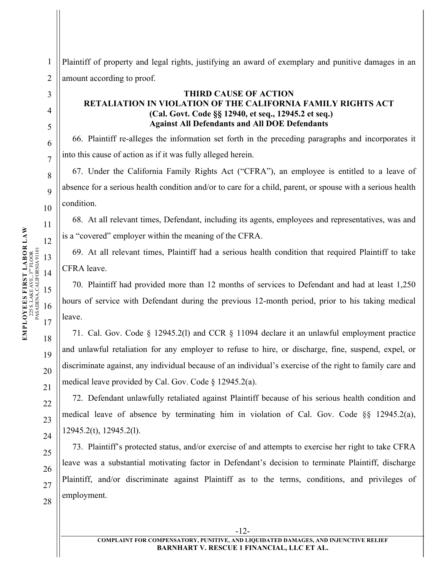2 3

4

5

6

7

8

9

10

1

Plaintiff of property and legal rights, justifying an award of exemplary and punitive damages in an amount according to proof.

# **THIRD CAUSE OF ACTION RETALIATION IN VIOLATION OF THE CALIFORNIA FAMILY RIGHTS ACT (Cal. Govt. Code §§ 12940, et seq., 12945.2 et seq.) Against All Defendants and All DOE Defendants**

66. Plaintiff re-alleges the information set forth in the preceding paragraphs and incorporates it into this cause of action as if it was fully alleged herein.

67. Under the California Family Rights Act ("CFRA"), an employee is entitled to a leave of absence for a serious health condition and/or to care for a child, parent, or spouse with a serious health condition.

68. At all relevant times, Defendant, including its agents, employees and representatives, was and is a "covered" employer within the meaning of the CFRA.

69. At all relevant times, Plaintiff had a serious health condition that required Plaintiff to take CFRA leave.

70. Plaintiff had provided more than 12 months of services to Defendant and had at least 1,250 hours of service with Defendant during the previous 12-month period, prior to his taking medical leave.

71. Cal. Gov. Code § 12945.2(l) and CCR § 11094 declare it an unlawful employment practice and unlawful retaliation for any employer to refuse to hire, or discharge, fine, suspend, expel, or discriminate against, any individual because of an individual's exercise of the right to family care and medical leave provided by Cal. Gov. Code § 12945.2(a).

72. Defendant unlawfully retaliated against Plaintiff because of his serious health condition and medical leave of absence by terminating him in violation of Cal. Gov. Code §§ 12945.2(a), 12945.2(t), 12945.2(l).

73. Plaintiff's protected status, and/or exercise of and attempts to exercise her right to take CFRA leave was a substantial motivating factor in Defendant's decision to terminate Plaintiff, discharge Plaintiff, and/or discriminate against Plaintiff as to the terms, conditions, and privileges of employment.

19

20

21

22

23

24

25

26

27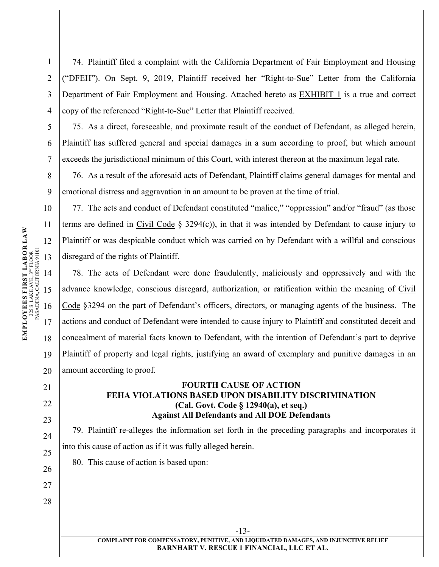74. Plaintiff filed a complaint with the California Department of Fair Employment and Housing ("DFEH"). On Sept. 9, 2019, Plaintiff received her "Right-to-Sue" Letter from the California Department of Fair Employment and Housing. Attached hereto as EXHIBIT 1 is a true and correct copy of the referenced "Right-to-Sue" Letter that Plaintiff received.

75. As a direct, foreseeable, and proximate result of the conduct of Defendant, as alleged herein, Plaintiff has suffered general and special damages in a sum according to proof, but which amount exceeds the jurisdictional minimum of this Court, with interest thereon at the maximum legal rate.

76. As a result of the aforesaid acts of Defendant, Plaintiff claims general damages for mental and emotional distress and aggravation in an amount to be proven at the time of trial.

77. The acts and conduct of Defendant constituted "malice," "oppression" and/or "fraud" (as those terms are defined in Civil Code § 3294(c)), in that it was intended by Defendant to cause injury to Plaintiff or was despicable conduct which was carried on by Defendant with a willful and conscious disregard of the rights of Plaintiff.

78. The acts of Defendant were done fraudulently, maliciously and oppressively and with the advance knowledge, conscious disregard, authorization, or ratification within the meaning of Civil Code §3294 on the part of Defendant's officers, directors, or managing agents of the business. The actions and conduct of Defendant were intended to cause injury to Plaintiff and constituted deceit and concealment of material facts known to Defendant, with the intention of Defendant's part to deprive Plaintiff of property and legal rights, justifying an award of exemplary and punitive damages in an amount according to proof.

### **FOURTH CAUSE OF ACTION FEHA VIOLATIONS BASED UPON DISABILITY DISCRIMINATION (Cal. Govt. Code § 12940(a), et seq.) Against All Defendants and All DOE Defendants**

79. Plaintiff re-alleges the information set forth in the preceding paragraphs and incorporates it into this cause of action as if it was fully alleged herein.

80. This cause of action is based upon:

-13-

1

2

3

4

5

6

7

8

9

10

19

20

21

22

23

24

25

26

27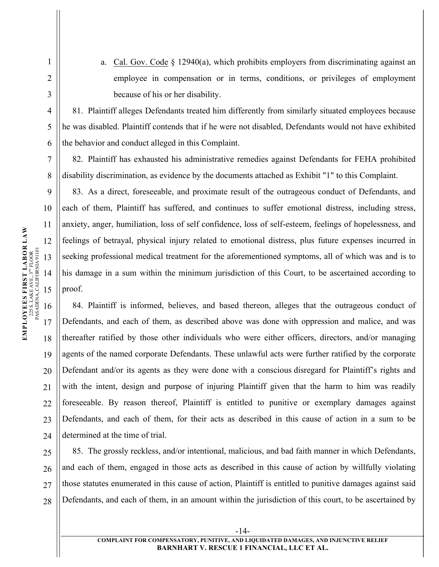1

2

3

4

5

6

7

8

9

10

19

20

21

 $22$ 

23

24

a. Cal. Gov. Code  $\S$  12940(a), which prohibits employers from discriminating against an employee in compensation or in terms, conditions, or privileges of employment because of his or her disability.

81. Plaintiff alleges Defendants treated him differently from similarly situated employees because he was disabled. Plaintiff contends that if he were not disabled, Defendants would not have exhibited the behavior and conduct alleged in this Complaint.

82. Plaintiff has exhausted his administrative remedies against Defendants for FEHA prohibited disability discrimination, as evidence by the documents attached as Exhibit "1" to this Complaint.

83. As a direct, foreseeable, and proximate result of the outrageous conduct of Defendants, and each of them, Plaintiff has suffered, and continues to suffer emotional distress, including stress, anxiety, anger, humiliation, loss of self confidence, loss of self-esteem, feelings of hopelessness, and feelings of betrayal, physical injury related to emotional distress, plus future expenses incurred in seeking professional medical treatment for the aforementioned symptoms, all of which was and is to his damage in a sum within the minimum jurisdiction of this Court, to be ascertained according to proof.

84. Plaintiff is informed, believes, and based thereon, alleges that the outrageous conduct of Defendants, and each of them, as described above was done with oppression and malice, and was thereafter ratified by those other individuals who were either officers, directors, and/or managing agents of the named corporate Defendants. These unlawful acts were further ratified by the corporate Defendant and/or its agents as they were done with a conscious disregard for Plaintiff's rights and with the intent, design and purpose of injuring Plaintiff given that the harm to him was readily foreseeable. By reason thereof, Plaintiff is entitled to punitive or exemplary damages against Defendants, and each of them, for their acts as described in this cause of action in a sum to be determined at the time of trial.

25 26 27 28 85. The grossly reckless, and/or intentional, malicious, and bad faith manner in which Defendants, and each of them, engaged in those acts as described in this cause of action by willfully violating those statutes enumerated in this cause of action, Plaintiff is entitled to punitive damages against said Defendants, and each of them, in an amount within the jurisdiction of this court, to be ascertained by

-14-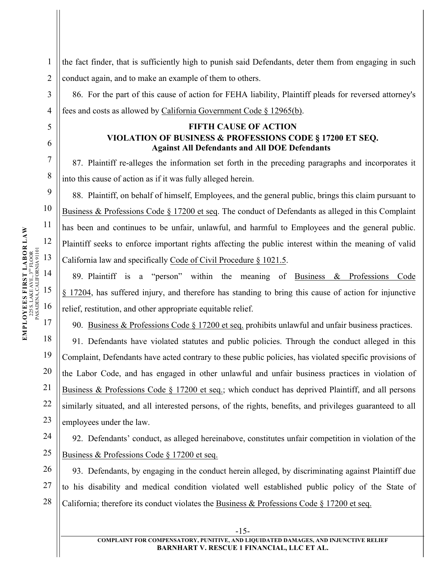1 2 the fact finder, that is sufficiently high to punish said Defendants, deter them from engaging in such conduct again, and to make an example of them to others.

86. For the part of this cause of action for FEHA liability, Plaintiff pleads for reversed attorney's fees and costs as allowed by California Government Code § 12965(b).

# **FIFTH CAUSE OF ACTION VIOLATION OF BUSINESS & PROFESSIONS CODE § 17200 ET SEQ. Against All Defendants and All DOE Defendants**

87. Plaintiff re-alleges the information set forth in the preceding paragraphs and incorporates it into this cause of action as if it was fully alleged herein.

88. Plaintiff, on behalf of himself, Employees, and the general public, brings this claim pursuant to Business & Professions Code § 17200 et seq. The conduct of Defendants as alleged in this Complaint has been and continues to be unfair, unlawful, and harmful to Employees and the general public. Plaintiff seeks to enforce important rights affecting the public interest within the meaning of valid California law and specifically Code of Civil Procedure § 1021.5.

89. Plaintiff is a "person" within the meaning of Business & Professions Code § 17204, has suffered injury, and therefore has standing to bring this cause of action for injunctive relief, restitution, and other appropriate equitable relief.

90. Business & Professions Code § 17200 et seq. prohibits unlawful and unfair business practices.

91. Defendants have violated statutes and public policies. Through the conduct alleged in this Complaint, Defendants have acted contrary to these public policies, has violated specific provisions of the Labor Code, and has engaged in other unlawful and unfair business practices in violation of Business & Professions Code § 17200 et seq.; which conduct has deprived Plaintiff, and all persons similarly situated, and all interested persons, of the rights, benefits, and privileges guaranteed to all employees under the law.

92. Defendants' conduct, as alleged hereinabove, constitutes unfair competition in violation of the Business & Professions Code § 17200 et seq.

26 27 28 93. Defendants, by engaging in the conduct herein alleged, by discriminating against Plaintiff due to his disability and medical condition violated well established public policy of the State of California; therefore its conduct violates the Business  $\&$  Professions Code § 17200 et seq.

19

20

21

22

23

24

25

3

4

5

6

7

8

9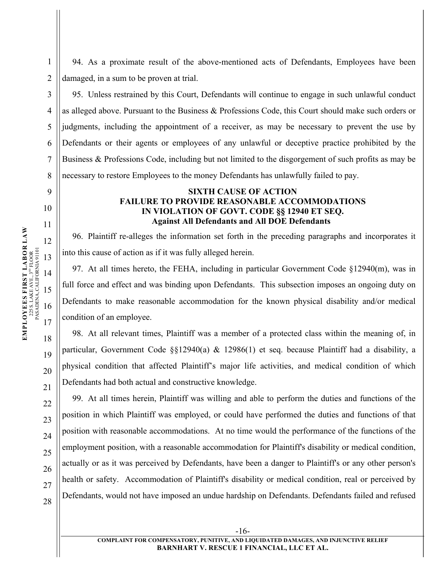94. As a proximate result of the above-mentioned acts of Defendants, Employees have been damaged, in a sum to be proven at trial.

95. Unless restrained by this Court, Defendants will continue to engage in such unlawful conduct as alleged above. Pursuant to the Business & Professions Code, this Court should make such orders or judgments, including the appointment of a receiver, as may be necessary to prevent the use by Defendants or their agents or employees of any unlawful or deceptive practice prohibited by the Business & Professions Code, including but not limited to the disgorgement of such profits as may be necessary to restore Employees to the money Defendants has unlawfully failed to pay.

#### **SIXTH CAUSE OF ACTION FAILURE TO PROVIDE REASONABLE ACCOMMODATIONS IN VIOLATION OF GOVT. CODE §§ 12940 ET SEQ. Against All Defendants and All DOE Defendants**

96. Plaintiff re-alleges the information set forth in the preceding paragraphs and incorporates it into this cause of action as if it was fully alleged herein.

97. At all times hereto, the FEHA, including in particular Government Code §12940(m), was in full force and effect and was binding upon Defendants. This subsection imposes an ongoing duty on Defendants to make reasonable accommodation for the known physical disability and/or medical condition of an employee.

98. At all relevant times, Plaintiff was a member of a protected class within the meaning of, in particular, Government Code §§12940(a) & 12986(1) et seq. because Plaintiff had a disability, a physical condition that affected Plaintiff's major life activities, and medical condition of which Defendants had both actual and constructive knowledge.

99. At all times herein, Plaintiff was willing and able to perform the duties and functions of the position in which Plaintiff was employed, or could have performed the duties and functions of that position with reasonable accommodations. At no time would the performance of the functions of the employment position, with a reasonable accommodation for Plaintiff's disability or medical condition, actually or as it was perceived by Defendants, have been a danger to Plaintiff's or any other person's health or safety. Accommodation of Plaintiff's disability or medical condition, real or perceived by Defendants, would not have imposed an undue hardship on Defendants. Defendants failed and refused

1

2

3

4

5

6

7

8

9

10

19

20

21

22

23

24

25

26

27

28

-16-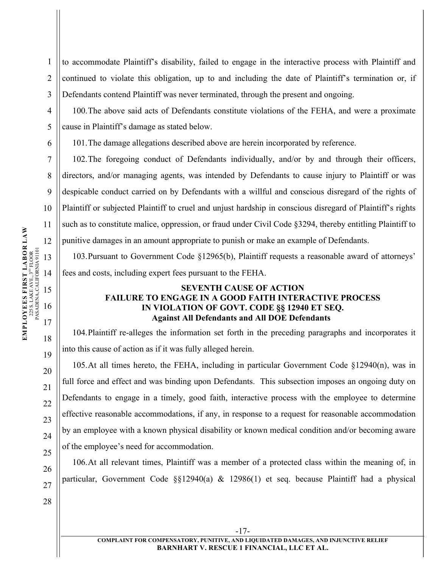1 2 3 to accommodate Plaintiff's disability, failed to engage in the interactive process with Plaintiff and continued to violate this obligation, up to and including the date of Plaintiff's termination or, if Defendants contend Plaintiff was never terminated, through the present and ongoing.

100.The above said acts of Defendants constitute violations of the FEHA, and were a proximate cause in Plaintiff's damage as stated below.

101.The damage allegations described above are herein incorporated by reference.

102.The foregoing conduct of Defendants individually, and/or by and through their officers, directors, and/or managing agents, was intended by Defendants to cause injury to Plaintiff or was despicable conduct carried on by Defendants with a willful and conscious disregard of the rights of Plaintiff or subjected Plaintiff to cruel and unjust hardship in conscious disregard of Plaintiff's rights such as to constitute malice, oppression, or fraud under Civil Code §3294, thereby entitling Plaintiff to punitive damages in an amount appropriate to punish or make an example of Defendants.

103.Pursuant to Government Code §12965(b), Plaintiff requests a reasonable award of attorneys' fees and costs, including expert fees pursuant to the FEHA.

### **SEVENTH CAUSE OF ACTION FAILURE TO ENGAGE IN A GOOD FAITH INTERACTIVE PROCESS IN VIOLATION OF GOVT. CODE §§ 12940 ET SEQ. Against All Defendants and All DOE Defendants**

104.Plaintiff re-alleges the information set forth in the preceding paragraphs and incorporates it into this cause of action as if it was fully alleged herein.

105.At all times hereto, the FEHA, including in particular Government Code §12940(n), was in full force and effect and was binding upon Defendants. This subsection imposes an ongoing duty on Defendants to engage in a timely, good faith, interactive process with the employee to determine effective reasonable accommodations, if any, in response to a request for reasonable accommodation by an employee with a known physical disability or known medical condition and/or becoming aware of the employee's need for accommodation.

106.At all relevant times, Plaintiff was a member of a protected class within the meaning of, in particular, Government Code §§12940(a) & 12986(1) et seq. because Plaintiff had a physical

4

5

6

7

8

9

10

28

19

20

21

22

23

24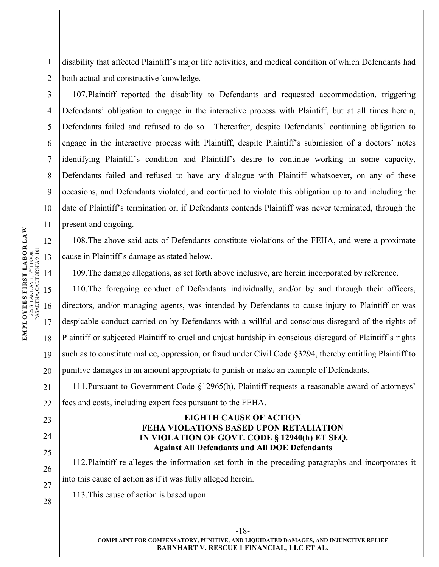1 2 disability that affected Plaintiff's major life activities, and medical condition of which Defendants had both actual and constructive knowledge.

107.Plaintiff reported the disability to Defendants and requested accommodation, triggering Defendants' obligation to engage in the interactive process with Plaintiff, but at all times herein, Defendants failed and refused to do so. Thereafter, despite Defendants' continuing obligation to engage in the interactive process with Plaintiff, despite Plaintiff's submission of a doctors' notes identifying Plaintiff's condition and Plaintiff's desire to continue working in some capacity, Defendants failed and refused to have any dialogue with Plaintiff whatsoever, on any of these occasions, and Defendants violated, and continued to violate this obligation up to and including the date of Plaintiff's termination or, if Defendants contends Plaintiff was never terminated, through the present and ongoing.

108.The above said acts of Defendants constitute violations of the FEHA, and were a proximate cause in Plaintiff's damage as stated below.

109.The damage allegations, as set forth above inclusive, are herein incorporated by reference.

110.The foregoing conduct of Defendants individually, and/or by and through their officers, directors, and/or managing agents, was intended by Defendants to cause injury to Plaintiff or was despicable conduct carried on by Defendants with a willful and conscious disregard of the rights of Plaintiff or subjected Plaintiff to cruel and unjust hardship in conscious disregard of Plaintiff's rights such as to constitute malice, oppression, or fraud under Civil Code §3294, thereby entitling Plaintiff to punitive damages in an amount appropriate to punish or make an example of Defendants.

111.Pursuant to Government Code §12965(b), Plaintiff requests a reasonable award of attorneys' fees and costs, including expert fees pursuant to the FEHA.

### **EIGHTH CAUSE OF ACTION FEHA VIOLATIONS BASED UPON RETALIATION IN VIOLATION OF GOVT. CODE § 12940(h) ET SEQ. Against All Defendants and All DOE Defendants**

112.Plaintiff re-alleges the information set forth in the preceding paragraphs and incorporates it into this cause of action as if it was fully alleged herein.

113.This cause of action is based upon:

3

4

5

6

7

8

9

10

11

19

20

21

 $22$ 

23

24

25

26

27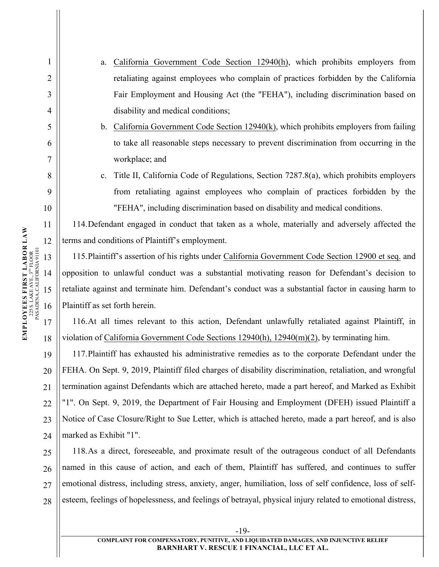- a. California Government Code Section 12940(h), which prohibits employers from retaliating against employees who complain of practices forbidden by the California Fair Employment and Housing Act (the "FEHA"), including discrimination based on disability and medical conditions;
	- b. California Government Code Section 12940(k), which prohibits employers from failing to take all reasonable steps necessary to prevent discrimination from occurring in the workplace; and
- c. Title II, California Code of Regulations, Section 7287.8(a), which prohibits employers from retaliating against employees who complain of practices forbidden by the "FEHA", including discrimination based on disability and medical conditions.

114.Defendant engaged in conduct that taken as a whole, materially and adversely affected the terms and conditions of Plaintiff's employment.

115.Plaintiff's assertion of his rights under California Government Code Section 12900 et seq. and opposition to unlawful conduct was a substantial motivating reason for Defendant's decision to retaliate against and terminate him. Defendant's conduct was a substantial factor in causing harm to Plaintiff as set forth herein.

116.At all times relevant to this action, Defendant unlawfully retaliated against Plaintiff, in violation of California Government Code Sections 12940(h), 12940(m)(2), by terminating him.

117.Plaintiff has exhausted his administrative remedies as to the corporate Defendant under the FEHA. On Sept. 9, 2019, Plaintiff filed charges of disability discrimination, retaliation, and wrongful termination against Defendants which are attached hereto, made a part hereof, and Marked as Exhibit "1". On Sept. 9, 2019, the Department of Fair Housing and Employment (DFEH) issued Plaintiff a Notice of Case Closure/Right to Sue Letter, which is attached hereto, made a part hereof, and is also marked as Exhibit "1".

25 26 27 28 118.As a direct, foreseeable, and proximate result of the outrageous conduct of all Defendants named in this cause of action, and each of them, Plaintiff has suffered, and continues to suffer emotional distress, including stress, anxiety, anger, humiliation, loss of self confidence, loss of selfesteem, feelings of hopelessness, and feelings of betrayal, physical injury related to emotional distress,

1

2

3

4

5

6

7

8

9

10

19

20

21

 $22$ 

23

24

-19-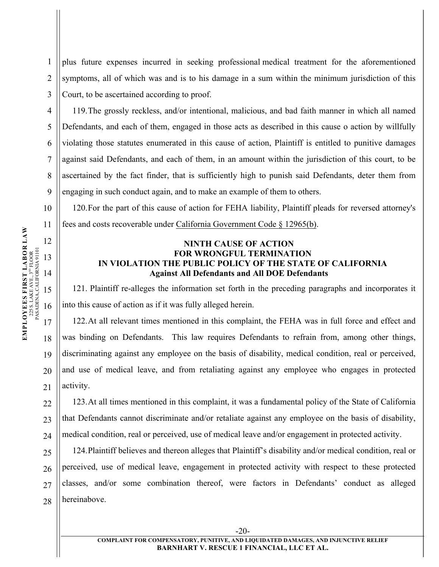1 2 3 plus future expenses incurred in seeking professional medical treatment for the aforementioned symptoms, all of which was and is to his damage in a sum within the minimum jurisdiction of this Court, to be ascertained according to proof.

119.The grossly reckless, and/or intentional, malicious, and bad faith manner in which all named Defendants, and each of them, engaged in those acts as described in this cause o action by willfully violating those statutes enumerated in this cause of action, Plaintiff is entitled to punitive damages against said Defendants, and each of them, in an amount within the jurisdiction of this court, to be ascertained by the fact finder, that is sufficiently high to punish said Defendants, deter them from engaging in such conduct again, and to make an example of them to others.

120.For the part of this cause of action for FEHA liability, Plaintiff pleads for reversed attorney's fees and costs recoverable under California Government Code § 12965(b).

# **NINTH CAUSE OF ACTION FOR WRONGFUL TERMINATION IN VIOLATION THE PUBLIC POLICY OF THE STATE OF CALIFORNIA Against All Defendants and All DOE Defendants**

121. Plaintiff re-alleges the information set forth in the preceding paragraphs and incorporates it into this cause of action as if it was fully alleged herein.

122.At all relevant times mentioned in this complaint, the FEHA was in full force and effect and was binding on Defendants. This law requires Defendants to refrain from, among other things, discriminating against any employee on the basis of disability, medical condition, real or perceived, and use of medical leave, and from retaliating against any employee who engages in protected activity.

123.At all times mentioned in this complaint, it was a fundamental policy of the State of California that Defendants cannot discriminate and/or retaliate against any employee on the basis of disability, medical condition, real or perceived, use of medical leave and/or engagement in protected activity.

124.Plaintiff believes and thereon alleges that Plaintiff's disability and/or medical condition, real or perceived, use of medical leave, engagement in protected activity with respect to these protected classes, and/or some combination thereof, were factors in Defendants' conduct as alleged hereinabove.

4

5

6

7

8

9

10

19

20

21

22

23

24

25

26

27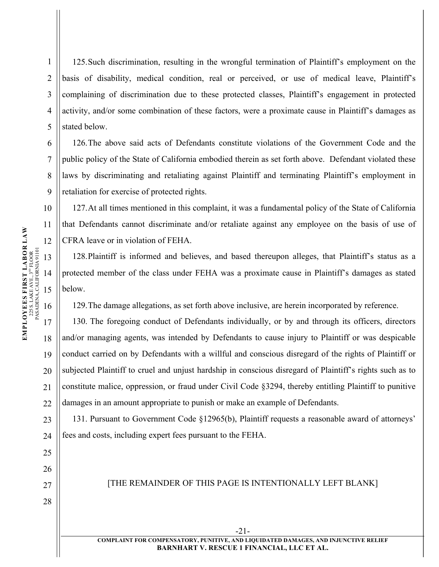1 2 3 4 5 125.Such discrimination, resulting in the wrongful termination of Plaintiff's employment on the basis of disability, medical condition, real or perceived, or use of medical leave, Plaintiff's complaining of discrimination due to these protected classes, Plaintiff's engagement in protected activity, and/or some combination of these factors, were a proximate cause in Plaintiff's damages as stated below.

126.The above said acts of Defendants constitute violations of the Government Code and the public policy of the State of California embodied therein as set forth above. Defendant violated these laws by discriminating and retaliating against Plaintiff and terminating Plaintiff's employment in retaliation for exercise of protected rights.

127.At all times mentioned in this complaint, it was a fundamental policy of the State of California that Defendants cannot discriminate and/or retaliate against any employee on the basis of use of CFRA leave or in violation of FEHA.

128.Plaintiff is informed and believes, and based thereupon alleges, that Plaintiff's status as a protected member of the class under FEHA was a proximate cause in Plaintiff's damages as stated below.

129.The damage allegations, as set forth above inclusive, are herein incorporated by reference.

130. The foregoing conduct of Defendants individually, or by and through its officers, directors and/or managing agents, was intended by Defendants to cause injury to Plaintiff or was despicable conduct carried on by Defendants with a willful and conscious disregard of the rights of Plaintiff or subjected Plaintiff to cruel and unjust hardship in conscious disregard of Plaintiff's rights such as to constitute malice, oppression, or fraud under Civil Code §3294, thereby entitling Plaintiff to punitive damages in an amount appropriate to punish or make an example of Defendants.

131. Pursuant to Government Code §12965(b), Plaintiff requests a reasonable award of attorneys' fees and costs, including expert fees pursuant to the FEHA.

[THE REMAINDER OF THIS PAGE IS INTENTIONALLY LEFT BLANK]

6

7

8

9

10

11

19

20

21

 $22$ 

23

24

25

26

27

28



**COMPLAINT FOR COMPENSATORY, PUNITIVE, AND LIQUIDATED DAMAGES, AND INJUNCTIVE RELIEF BARNHART V. RESCUE 1 FINANCIAL, LLC ET AL.**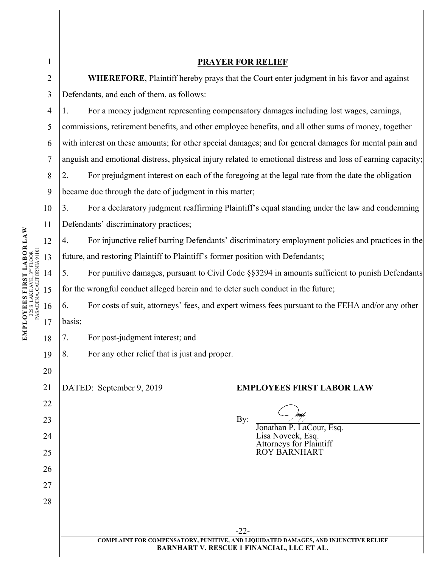|                                                                                                                                                                                                  | 1              |        | <b>PRAYER FOR RELIEF</b>                                                                                    |
|--------------------------------------------------------------------------------------------------------------------------------------------------------------------------------------------------|----------------|--------|-------------------------------------------------------------------------------------------------------------|
|                                                                                                                                                                                                  | $\overline{2}$ |        | WHEREFORE, Plaintiff hereby prays that the Court enter judgment in his favor and against                    |
|                                                                                                                                                                                                  | 3              |        | Defendants, and each of them, as follows:                                                                   |
|                                                                                                                                                                                                  | 4              | 1.     | For a money judgment representing compensatory damages including lost wages, earnings,                      |
|                                                                                                                                                                                                  | 5              |        | commissions, retirement benefits, and other employee benefits, and all other sums of money, together        |
|                                                                                                                                                                                                  | 6              |        | with interest on these amounts; for other special damages; and for general damages for mental pain and      |
|                                                                                                                                                                                                  | 7              |        | anguish and emotional distress, physical injury related to emotional distress and loss of earning capacity; |
|                                                                                                                                                                                                  | 8              | 2.     | For prejudgment interest on each of the foregoing at the legal rate from the date the obligation            |
|                                                                                                                                                                                                  | 9              |        | became due through the date of judgment in this matter;                                                     |
|                                                                                                                                                                                                  | 10             | 3.     | For a declaratory judgment reaffirming Plaintiff's equal standing under the law and condemning              |
|                                                                                                                                                                                                  | 11             |        | Defendants' discriminatory practices;                                                                       |
|                                                                                                                                                                                                  | 12             | 4.     | For injunctive relief barring Defendants' discriminatory employment policies and practices in the           |
|                                                                                                                                                                                                  | 13             |        | future, and restoring Plaintiff to Plaintiff's former position with Defendants;                             |
| $\begin{array}{c} \textbf{LOVEES FIRST LABOR LAW} \\ \textbf{22S LARE AVE}, 3^{w} \text{FLOOR} \end{array}$<br>$225 \text{ S. LAKE AVE, } 3^{\text{no}} \text{FLOOR}$ PASADENA, CALIFORNIA 91101 | 14             | 5.     | For punitive damages, pursuant to Civil Code §§3294 in amounts sufficient to punish Defendants              |
|                                                                                                                                                                                                  | 15             |        | for the wrongful conduct alleged herein and to deter such conduct in the future;                            |
|                                                                                                                                                                                                  | 16             | 6.     | For costs of suit, attorneys' fees, and expert witness fees pursuant to the FEHA and/or any other           |
|                                                                                                                                                                                                  | 17             | basis; |                                                                                                             |
| EM                                                                                                                                                                                               | 18             | 7.     | For post-judgment interest; and                                                                             |
|                                                                                                                                                                                                  | 19             | 8.     | For any other relief that is just and proper.                                                               |
|                                                                                                                                                                                                  | 20             |        |                                                                                                             |
|                                                                                                                                                                                                  | 21             |        | DATED: September 9, 2019<br><b>EMPLOYEES FIRST LABOR LAW</b>                                                |
|                                                                                                                                                                                                  | 22             |        |                                                                                                             |
|                                                                                                                                                                                                  | 23             |        | By:<br>Jonathan P. LaCour, Esq.                                                                             |
|                                                                                                                                                                                                  | 24             |        | Lisa Noveck, Esq.<br><b>Attorneys for Plaintiff</b>                                                         |
|                                                                                                                                                                                                  | 25             |        | <b>ROY BARNHART</b>                                                                                         |
|                                                                                                                                                                                                  | 26             |        |                                                                                                             |
|                                                                                                                                                                                                  | 27             |        |                                                                                                             |
|                                                                                                                                                                                                  | 28             |        |                                                                                                             |
|                                                                                                                                                                                                  |                |        |                                                                                                             |
|                                                                                                                                                                                                  |                |        | $-22-$<br>COMPLAINT FOR COMPENSATORY, PUNITIVE, AND LIQUIDATED DAMAGES, AND INJUNCTIVE RELIEF               |
|                                                                                                                                                                                                  |                |        | <b>BARNHART V. RESCUE 1 FINANCIAL, LLC ET AL.</b>                                                           |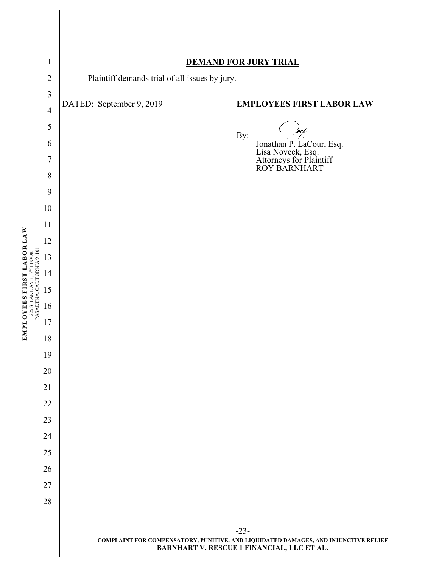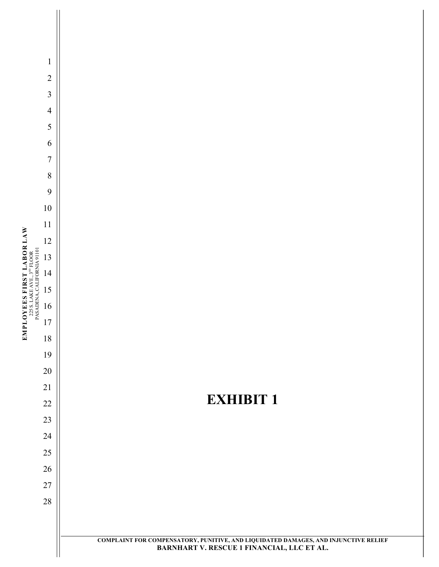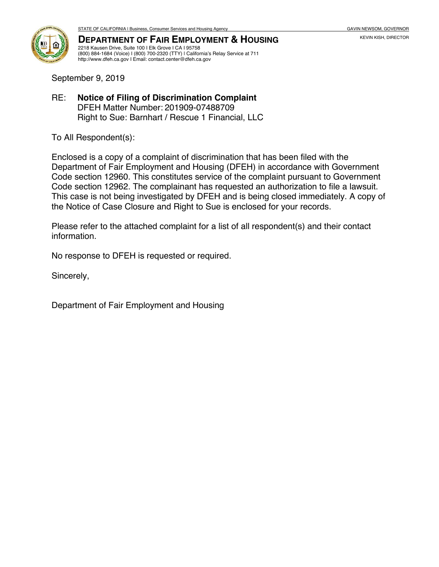

**DEPARTMENT OF FAIR EMPLOYMENT & HOUSING** 2218 Kausen Drive, Suite 100 I Elk Grove I CA I 95758 (800) 884-1684 (Voice) I (800) 700-2320 (TTY) | California's Relay Service at 711 http://www.dfeh.ca.gov I Email: contact.center@dfeh.ca.gov

September 9, 2019

RE: **Notice of Filing of Discrimination Complaint** DFEH Matter Number: 201909-07488709 Right to Sue: Barnhart / Rescue 1 Financial, LLC

To All Respondent(s):

Enclosed is a copy of a complaint of discrimination that has been filed with the Department of Fair Employment and Housing (DFEH) in accordance with Government Code section 12960. This constitutes service of the complaint pursuant to Government Code section 12962. The complainant has requested an authorization to file a lawsuit. This case is not being investigated by DFEH and is being closed immediately. A copy of the Notice of Case Closure and Right to Sue is enclosed for your records.

Please refer to the attached complaint for a list of all respondent(s) and their contact information.

No response to DFEH is requested or required.

Sincerely,

Department of Fair Employment and Housing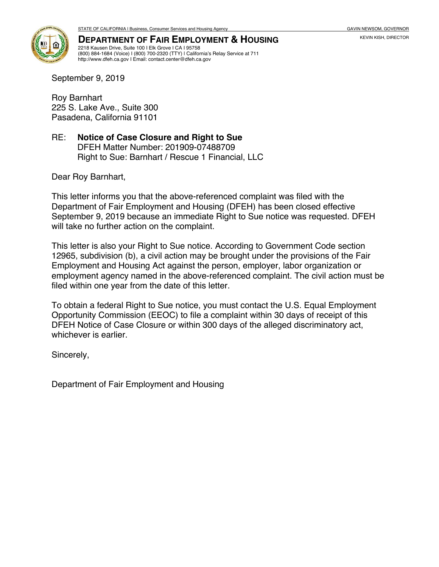

**DEPARTMENT OF FAIR EMPLOYMENT & HOUSING** 2218 Kausen Drive, Suite 100 I Elk Grove I CA I 95758 (800) 884-1684 (Voice) I (800) 700-2320 (TTY) | California's Relay Service at 711 http://www.dfeh.ca.gov I Email: contact.center@dfeh.ca.gov

September 9, 2019

Roy Barnhart 225 S. Lake Ave., Suite 300 Pasadena, California 91101

### RE: **Notice of Case Closure and Right to Sue** DFEH Matter Number: 201909-07488709 Right to Sue: Barnhart / Rescue 1 Financial, LLC

Dear Roy Barnhart,

This letter informs you that the above-referenced complaint was filed with the Department of Fair Employment and Housing (DFEH) has been closed effective September 9, 2019 because an immediate Right to Sue notice was requested. DFEH will take no further action on the complaint.

This letter is also your Right to Sue notice. According to Government Code section 12965, subdivision (b), a civil action may be brought under the provisions of the Fair Employment and Housing Act against the person, employer, labor organization or employment agency named in the above-referenced complaint. The civil action must be filed within one year from the date of this letter.

To obtain a federal Right to Sue notice, you must contact the U.S. Equal Employment Opportunity Commission (EEOC) to file a complaint within 30 days of receipt of this DFEH Notice of Case Closure or within 300 days of the alleged discriminatory act, whichever is earlier.

Sincerely,

Department of Fair Employment and Housing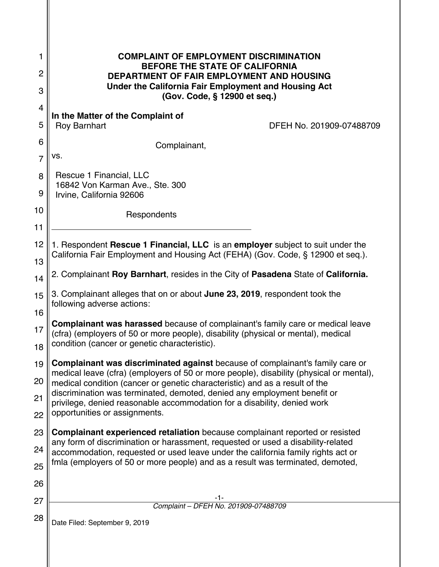| 1              | <b>COMPLAINT OF EMPLOYMENT DISCRIMINATION</b>                                                                                                                              |  |  |
|----------------|----------------------------------------------------------------------------------------------------------------------------------------------------------------------------|--|--|
| 2              | <b>BEFORE THE STATE OF CALIFORNIA</b><br><b>DEPARTMENT OF FAIR EMPLOYMENT AND HOUSING</b>                                                                                  |  |  |
| 3              | Under the California Fair Employment and Housing Act<br>(Gov. Code, § 12900 et seq.)                                                                                       |  |  |
| 4              | In the Matter of the Complaint of                                                                                                                                          |  |  |
| 5              | <b>Roy Barnhart</b><br>DFEH No. 201909-07488709                                                                                                                            |  |  |
| 6              | Complainant,                                                                                                                                                               |  |  |
| $\overline{7}$ | VS.                                                                                                                                                                        |  |  |
| 8<br>9         | Rescue 1 Financial, LLC<br>16842 Von Karman Ave., Ste. 300<br>Irvine, California 92606                                                                                     |  |  |
| 10             | Respondents                                                                                                                                                                |  |  |
| 11             |                                                                                                                                                                            |  |  |
| 12             | 1. Respondent Rescue 1 Financial, LLC is an employer subject to suit under the                                                                                             |  |  |
| 13             | California Fair Employment and Housing Act (FEHA) (Gov. Code, § 12900 et seq.).                                                                                            |  |  |
| 14             | 2. Complainant Roy Barnhart, resides in the City of Pasadena State of California.                                                                                          |  |  |
| 15             | 3. Complainant alleges that on or about June 23, 2019, respondent took the                                                                                                 |  |  |
| 16             | following adverse actions:                                                                                                                                                 |  |  |
| 17             | <b>Complainant was harassed</b> because of complainant's family care or medical leave<br>(cfra) (employers of 50 or more people), disability (physical or mental), medical |  |  |
| 18             | condition (cancer or genetic characteristic).                                                                                                                              |  |  |
| 19             | Complainant was discriminated against because of complainant's family care or<br>medical leave (cfra) (employers of 50 or more people), disability (physical or mental),   |  |  |
| 20             | medical condition (cancer or genetic characteristic) and as a result of the                                                                                                |  |  |
| 21             | discrimination was terminated, demoted, denied any employment benefit or<br>privilege, denied reasonable accommodation for a disability, denied work                       |  |  |
| 22             | opportunities or assignments.                                                                                                                                              |  |  |
| 23             | Complainant experienced retaliation because complainant reported or resisted                                                                                               |  |  |
| 24             | any form of discrimination or harassment, requested or used a disability-related<br>accommodation, requested or used leave under the california family rights act or       |  |  |
| 25             | fmla (employers of 50 or more people) and as a result was terminated, demoted,                                                                                             |  |  |
| 26             |                                                                                                                                                                            |  |  |
| 27             | -1-<br>Complaint - DFEH No. 201909-07488709                                                                                                                                |  |  |
| 28             | Date Filed: September 9, 2019                                                                                                                                              |  |  |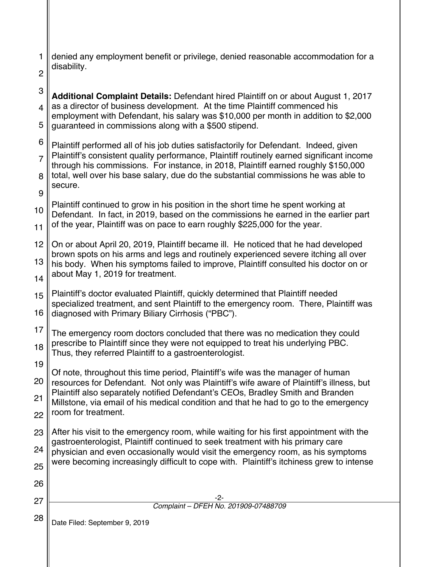| 1 denied any employment benefit or privilege, denied reasonable accommodation for a |
|-------------------------------------------------------------------------------------|
| $\begin{array}{c} \mathsf{a} \\ \mathsf{b} \end{array}$ disability.                 |

9

3 4 5 **Additional Complaint Details:** Defendant hired Plaintiff on or about August 1, 2017 as a director of business development. At the time Plaintiff commenced his employment with Defendant, his salary was \$10,000 per month in addition to \$2,000 guaranteed in commissions along with a \$500 stipend.

6 7 8 Plaintiff performed all of his job duties satisfactorily for Defendant. Indeed, given Plaintiff's consistent quality performance, Plaintiff routinely earned significant income through his commissions. For instance, in 2018, Plaintiff earned roughly \$150,000 total, well over his base salary, due do the substantial commissions he was able to secure.

10 11 Plaintiff continued to grow in his position in the short time he spent working at Defendant. In fact, in 2019, based on the commissions he earned in the earlier part of the year, Plaintiff was on pace to earn roughly \$225,000 for the year.

 $12<sub>1</sub>$ 13 14 On or about April 20, 2019, Plaintiff became ill. He noticed that he had developed brown spots on his arms and legs and routinely experienced severe itching all over his body. When his symptoms failed to improve, Plaintiff consulted his doctor on or about May 1, 2019 for treatment.

15 16 Plaintiff's doctor evaluated Plaintiff, quickly determined that Plaintiff needed specialized treatment, and sent Plaintiff to the emergency room. There, Plaintiff was diagnosed with Primary Biliary Cirrhosis ("PBC").

17 18 The emergency room doctors concluded that there was no medication they could prescribe to Plaintiff since they were not equipped to treat his underlying PBC. Thus, they referred Plaintiff to a gastroenterologist.

19

20 21 Of note, throughout this time period, Plaintiff's wife was the manager of human resources for Defendant. Not only was Plaintiff's wife aware of Plaintiff's illness, but Plaintiff also separately notified Defendant's CEOs, Bradley Smith and Branden Millstone, via email of his medical condition and that he had to go to the emergency

22 room for treatment.

23 24 25 After his visit to the emergency room, while waiting for his first appointment with the gastroenterologist, Plaintiff continued to seek treatment with his primary care physician and even occasionally would visit the emergency room, as his symptoms were becoming increasingly difficult to cope with. Plaintiff's itchiness grew to intense

27

-2- Complaint – DFEH No. 201909-07488709

Date Filed: September 9, 2019 28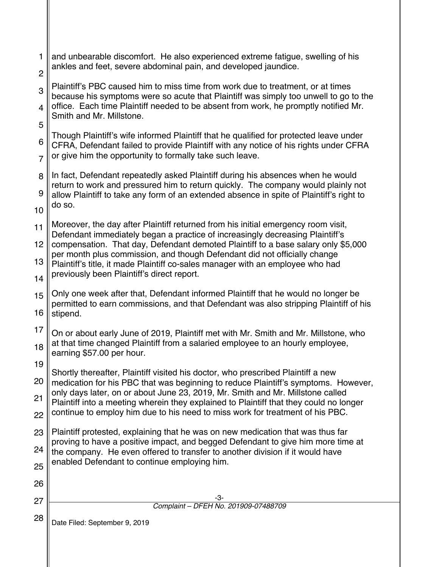| 1              | and unbearable discomfort. He also experienced extreme fatigue, swelling of his<br>ankles and feet, severe abdominal pain, and developed jaundice.                                                                                                             |
|----------------|----------------------------------------------------------------------------------------------------------------------------------------------------------------------------------------------------------------------------------------------------------------|
| $\overline{2}$ |                                                                                                                                                                                                                                                                |
| 3              | Plaintiff's PBC caused him to miss time from work due to treatment, or at times<br>because his symptoms were so acute that Plaintiff was simply too unwell to go to the<br>office. Each time Plaintiff needed to be absent from work, he promptly notified Mr. |
| 4<br>5         | Smith and Mr. Millstone.                                                                                                                                                                                                                                       |
| 6              | Though Plaintiff's wife informed Plaintiff that he qualified for protected leave under<br>CFRA, Defendant failed to provide Plaintiff with any notice of his rights under CFRA                                                                                 |
| $\overline{7}$ | or give him the opportunity to formally take such leave.                                                                                                                                                                                                       |
| 8              | In fact, Defendant repeatedly asked Plaintiff during his absences when he would<br>return to work and pressured him to return quickly. The company would plainly not                                                                                           |
| 9<br>10        | allow Plaintiff to take any form of an extended absence in spite of Plaintiff's right to<br>do so.                                                                                                                                                             |
| 11             | Moreover, the day after Plaintiff returned from his initial emergency room visit,<br>Defendant immediately began a practice of increasingly decreasing Plaintiff's                                                                                             |
| 12             | compensation. That day, Defendant demoted Plaintiff to a base salary only \$5,000                                                                                                                                                                              |
| 13             | per month plus commission, and though Defendant did not officially change<br>Plaintiff's title, it made Plaintiff co-sales manager with an employee who had<br>previously been Plaintiff's direct report.                                                      |
| 14             |                                                                                                                                                                                                                                                                |
| 15             | Only one week after that, Defendant informed Plaintiff that he would no longer be<br>permitted to earn commissions, and that Defendant was also stripping Plaintiff of his                                                                                     |
| 16             | stipend.                                                                                                                                                                                                                                                       |
| 17             | On or about early June of 2019, Plaintiff met with Mr. Smith and Mr. Millstone, who<br>at that time changed Plaintiff from a salaried employee to an hourly employee,                                                                                          |
| 18             | earning \$57.00 per hour.                                                                                                                                                                                                                                      |
| 19             | Shortly thereafter, Plaintiff visited his doctor, who prescribed Plaintiff a new                                                                                                                                                                               |
| 20             | medication for his PBC that was beginning to reduce Plaintiff's symptoms. However,<br>only days later, on or about June 23, 2019, Mr. Smith and Mr. Millstone called                                                                                           |
| 21             | Plaintiff into a meeting wherein they explained to Plaintiff that they could no longer                                                                                                                                                                         |
| 22             | continue to employ him due to his need to miss work for treatment of his PBC.                                                                                                                                                                                  |
| 23             | Plaintiff protested, explaining that he was on new medication that was thus far<br>proving to have a positive impact, and begged Defendant to give him more time at                                                                                            |
| 24             | the company. He even offered to transfer to another division if it would have                                                                                                                                                                                  |
| 25             | enabled Defendant to continue employing him.                                                                                                                                                                                                                   |
| 26             |                                                                                                                                                                                                                                                                |
| 27             | -3-<br>Complaint - DFEH No. 201909-07488709                                                                                                                                                                                                                    |
| 28             | Date Filed: September 9, 2019                                                                                                                                                                                                                                  |
|                |                                                                                                                                                                                                                                                                |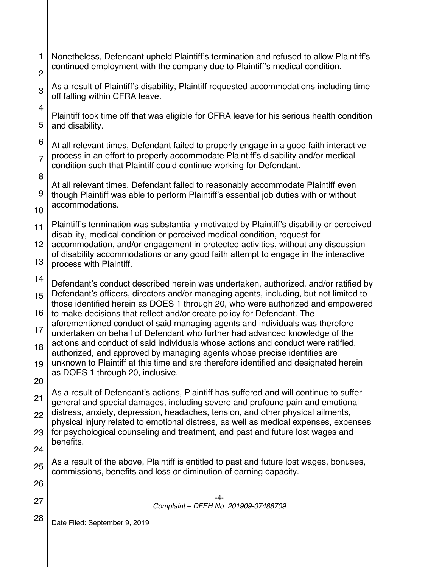| 1              | Nonetheless, Defendant upheld Plaintiff's termination and refused to allow Plaintiff's<br>continued employment with the company due to Plaintiff's medical condition.   |  |
|----------------|-------------------------------------------------------------------------------------------------------------------------------------------------------------------------|--|
| $\overline{2}$ |                                                                                                                                                                         |  |
| 3              | As a result of Plaintiff's disability, Plaintiff requested accommodations including time<br>off falling within CFRA leave.                                              |  |
| 4              | Plaintiff took time off that was eligible for CFRA leave for his serious health condition                                                                               |  |
| 5              | and disability.                                                                                                                                                         |  |
| 6              | At all relevant times, Defendant failed to properly engage in a good faith interactive                                                                                  |  |
| $\overline{7}$ | process in an effort to properly accommodate Plaintiff's disability and/or medical<br>condition such that Plaintiff could continue working for Defendant.               |  |
| 8              | At all relevant times, Defendant failed to reasonably accommodate Plaintiff even                                                                                        |  |
| 9              | though Plaintiff was able to perform Plaintiff's essential job duties with or without                                                                                   |  |
| 10             | accommodations.                                                                                                                                                         |  |
| 11             | Plaintiff's termination was substantially motivated by Plaintiff's disability or perceived<br>disability, medical condition or perceived medical condition, request for |  |
| 12             | accommodation, and/or engagement in protected activities, without any discussion                                                                                        |  |
| 13             | of disability accommodations or any good faith attempt to engage in the interactive<br>process with Plaintiff.                                                          |  |
| 14             | Defendant's conduct described herein was undertaken, authorized, and/or ratified by                                                                                     |  |
| 15             | Defendant's officers, directors and/or managing agents, including, but not limited to                                                                                   |  |
| 16             | those identified herein as DOES 1 through 20, who were authorized and empowered<br>to make decisions that reflect and/or create policy for Defendant. The               |  |
| 17             | aforementioned conduct of said managing agents and individuals was therefore<br>undertaken on behalf of Defendant who further had advanced knowledge of the             |  |
| 18             | actions and conduct of said individuals whose actions and conduct were ratified,<br>authorized, and approved by managing agents whose precise identities are            |  |
| 19             | unknown to Plaintiff at this time and are therefore identified and designated herein                                                                                    |  |
| 20             | as DOES 1 through 20, inclusive.                                                                                                                                        |  |
| 21             | As a result of Defendant's actions, Plaintiff has suffered and will continue to suffer<br>general and special damages, including severe and profound pain and emotional |  |
| 22             | distress, anxiety, depression, headaches, tension, and other physical ailments,                                                                                         |  |
| 23             | physical injury related to emotional distress, as well as medical expenses, expenses<br>for psychological counseling and treatment, and past and future lost wages and  |  |
| 24             | benefits.                                                                                                                                                               |  |
| 25             | As a result of the above, Plaintiff is entitled to past and future lost wages, bonuses,<br>commissions, benefits and loss or diminution of earning capacity.            |  |
| 26             |                                                                                                                                                                         |  |
| 27             |                                                                                                                                                                         |  |
|                | Complaint - DFEH No. 201909-07488709                                                                                                                                    |  |
| 28             | Date Filed: September 9, 2019                                                                                                                                           |  |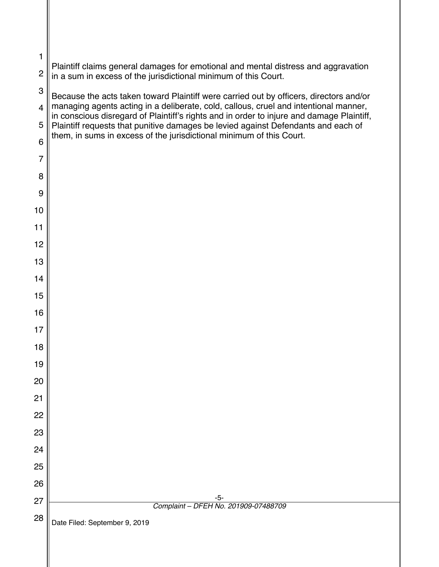| 1              |                                                                                                                                                                                   |
|----------------|-----------------------------------------------------------------------------------------------------------------------------------------------------------------------------------|
| $\overline{c}$ | Plaintiff claims general damages for emotional and mental distress and aggravation<br>in a sum in excess of the jurisdictional minimum of this Court.                             |
| 3              | Because the acts taken toward Plaintiff were carried out by officers, directors and/or                                                                                            |
| $\overline{4}$ | managing agents acting in a deliberate, cold, callous, cruel and intentional manner,<br>in conscious disregard of Plaintiff's rights and in order to injure and damage Plaintiff, |
| 5<br>6         | Plaintiff requests that punitive damages be levied against Defendants and each of<br>them, in sums in excess of the jurisdictional minimum of this Court.                         |
| $\overline{7}$ |                                                                                                                                                                                   |
| 8              |                                                                                                                                                                                   |
| 9              |                                                                                                                                                                                   |
| 10             |                                                                                                                                                                                   |
| 11             |                                                                                                                                                                                   |
| 12             |                                                                                                                                                                                   |
| 13             |                                                                                                                                                                                   |
| 14             |                                                                                                                                                                                   |
| 15             |                                                                                                                                                                                   |
| 16             |                                                                                                                                                                                   |
| 17             |                                                                                                                                                                                   |
| 18             |                                                                                                                                                                                   |
| 19<br>20       |                                                                                                                                                                                   |
| 21             |                                                                                                                                                                                   |
| 22             |                                                                                                                                                                                   |
| 23             |                                                                                                                                                                                   |
| 24             |                                                                                                                                                                                   |
| 25             |                                                                                                                                                                                   |
| 26             |                                                                                                                                                                                   |
| 27             | $-5-$<br>Complaint - DFEH No. 201909-07488709                                                                                                                                     |
| 28             | Date Filed: September 9, 2019                                                                                                                                                     |
|                |                                                                                                                                                                                   |